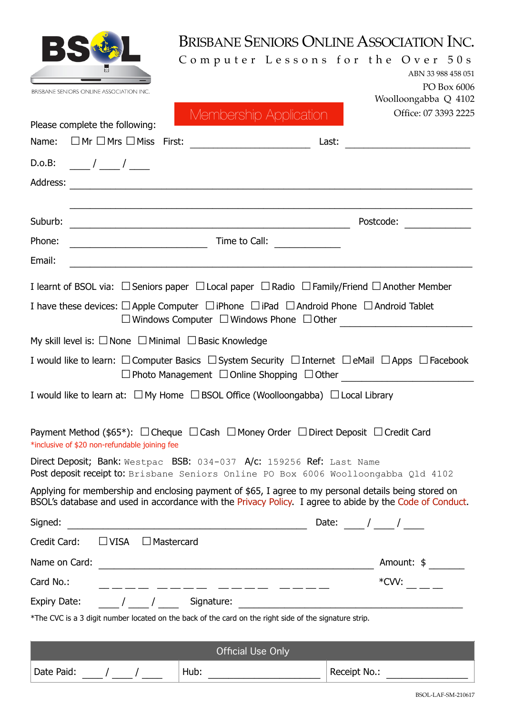|                                                                                                                                                                | BRISBANE SENIORS ONLINE ASSOCIATION INC.<br>Computer Lessons for the Over 50s                                                                                                                                     | ABN 33 988 458 051<br>PO Box 6006 |
|----------------------------------------------------------------------------------------------------------------------------------------------------------------|-------------------------------------------------------------------------------------------------------------------------------------------------------------------------------------------------------------------|-----------------------------------|
| <b>BRISBANE SENIORS ONLINE ASSOCIATION INC</b>                                                                                                                 |                                                                                                                                                                                                                   | Woolloongabba Q 4102              |
| Please complete the following:                                                                                                                                 | Membership Application                                                                                                                                                                                            | Office: 07 3393 2225              |
| Name: $\Box$ Mr $\Box$ Mrs $\Box$ Miss First:                                                                                                                  |                                                                                                                                                                                                                   | Last:                             |
|                                                                                                                                                                |                                                                                                                                                                                                                   |                                   |
| Address:                                                                                                                                                       |                                                                                                                                                                                                                   |                                   |
|                                                                                                                                                                |                                                                                                                                                                                                                   |                                   |
| Suburb:                                                                                                                                                        |                                                                                                                                                                                                                   | Postcode:                         |
| Phone:                                                                                                                                                         | Time to Call:                                                                                                                                                                                                     |                                   |
| Email:                                                                                                                                                         |                                                                                                                                                                                                                   |                                   |
|                                                                                                                                                                | I learnt of BSOL via: $\Box$ Seniors paper $\Box$ Local paper $\Box$ Radio $\Box$ Family/Friend $\Box$ Another Member                                                                                             |                                   |
|                                                                                                                                                                | I have these devices: $\Box$ Apple Computer $\Box$ iPhone $\Box$ iPad $\Box$ Android Phone $\Box$ Android Tablet                                                                                                  |                                   |
|                                                                                                                                                                | $\square$ Windows Computer $\square$ Windows Phone $\square$ Other                                                                                                                                                |                                   |
| My skill level is: $\Box$ None $\Box$ Minimal $\Box$ Basic Knowledge                                                                                           |                                                                                                                                                                                                                   |                                   |
|                                                                                                                                                                | I would like to learn: $\Box$ Computer Basics $\Box$ System Security $\Box$ Internet $\Box$ eMail $\Box$ Apps $\Box$ Facebook<br>$\Box$ Photo Management $\Box$ Online Shopping $\Box$ Other                      |                                   |
| I would like to learn at: $\Box$ My Home $\Box$ BSOL Office (Woolloongabba) $\Box$ Local Library                                                               |                                                                                                                                                                                                                   |                                   |
|                                                                                                                                                                |                                                                                                                                                                                                                   |                                   |
| Payment Method (\$65*): $\Box$ Cheque $\Box$ Cash $\Box$ Money Order $\Box$ Direct Deposit $\Box$ Credit Card<br>*inclusive of \$20 non-refundable joining fee |                                                                                                                                                                                                                   |                                   |
| Direct Deposit; Bank: Westpac BSB: 034-037 A/c: 159256 Ref: Last Name<br>Post deposit receipt to: Brisbane Seniors Online PO Box 6006 Woolloongabba Qld 4102   |                                                                                                                                                                                                                   |                                   |
|                                                                                                                                                                | Applying for membership and enclosing payment of \$65, I agree to my personal details being stored on<br>BSOL's database and used in accordance with the Privacy Policy. I agree to abide by the Code of Conduct. |                                   |
| Signed:                                                                                                                                                        |                                                                                                                                                                                                                   |                                   |
| $\Box$ VISA $\Box$ Mastercard<br>Credit Card:                                                                                                                  |                                                                                                                                                                                                                   |                                   |
| Name on Card:                                                                                                                                                  | <u> 1989 - Johann Barbara, martxa alemaniar amerikan a</u>                                                                                                                                                        | Amount: \$                        |
| Card No.:                                                                                                                                                      | _____ _____ __                                                                                                                                                                                                    | *CVV:                             |
| / / Signature:<br><b>Expiry Date:</b>                                                                                                                          |                                                                                                                                                                                                                   |                                   |
| *The CVC is a 3 digit number located on the back of the card on the right side of the signature strip.                                                         |                                                                                                                                                                                                                   |                                   |
|                                                                                                                                                                | <b>Official Use Only</b>                                                                                                                                                                                          |                                   |
|                                                                                                                                                                | Hub:                                                                                                                                                                                                              | Receipt No.:                      |
| Date Paid: / /                                                                                                                                                 |                                                                                                                                                                                                                   |                                   |